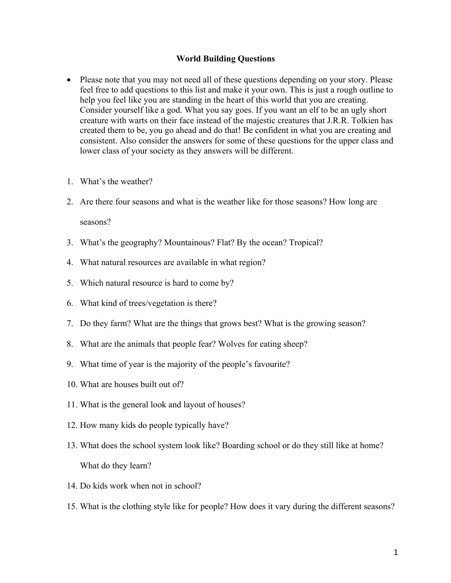## **World Building Questions**

- Please note that you may not need all of these questions depending on your story. Please feel free to add questions to this list and make it your own. This is just a rough outline to help you feel like you are standing in the heart of this world that you are creating. Consider yourself like a god. What you say goes. If you want an elf to be an ugly short creature with warts on their face instead of the majestic creatures that J.R.R. Tolkien has created them to be, you go ahead and do that! Be confident in what you are creating and consistent. Also consider the answers for some of these questions for the upper class and lower class of your society as they answers will be different.
- 1. What's the weather?
- 2. Are there four seasons and what is the weather like for those seasons? How long are seasons?
- 3. What's the geography? Mountainous? Flat? By the ocean? Tropical?
- 4. What natural resources are available in what region?
- 5. Which natural resource is hard to come by?
- 6. What kind of trees/vegetation is there?
- 7. Do they farm? What are the things that grows best? What is the growing season?
- 8. What are the animals that people fear? Wolves for eating sheep?
- 9. What time of year is the majority of the people's favourite?
- 10. What are houses built out of?
- 11. What is the general look and layout of houses?
- 12. How many kids do people typically have?
- 13. What does the school system look like? Boarding school or do they still like at home? What do they learn?
- 14. Do kids work when not in school?
- 15. What is the clothing style like for people? How does it vary during the different seasons?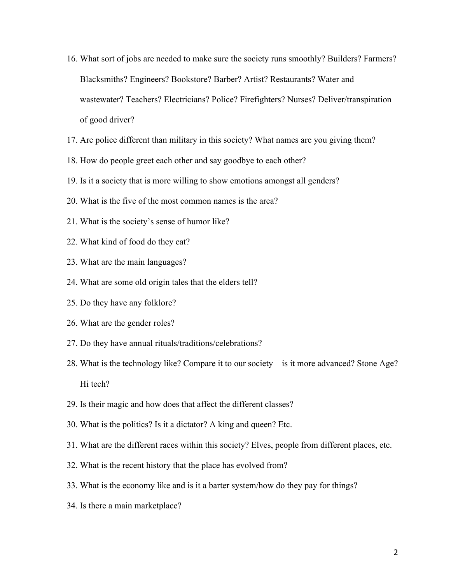- 16. What sort of jobs are needed to make sure the society runs smoothly? Builders? Farmers? Blacksmiths? Engineers? Bookstore? Barber? Artist? Restaurants? Water and wastewater? Teachers? Electricians? Police? Firefighters? Nurses? Deliver/transpiration of good driver?
- 17. Are police different than military in this society? What names are you giving them?
- 18. How do people greet each other and say goodbye to each other?
- 19. Is it a society that is more willing to show emotions amongst all genders?
- 20. What is the five of the most common names is the area?
- 21. What is the society's sense of humor like?
- 22. What kind of food do they eat?
- 23. What are the main languages?
- 24. What are some old origin tales that the elders tell?
- 25. Do they have any folklore?
- 26. What are the gender roles?
- 27. Do they have annual rituals/traditions/celebrations?
- 28. What is the technology like? Compare it to our society is it more advanced? Stone Age? Hi tech?
- 29. Is their magic and how does that affect the different classes?
- 30. What is the politics? Is it a dictator? A king and queen? Etc.
- 31. What are the different races within this society? Elves, people from different places, etc.
- 32. What is the recent history that the place has evolved from?
- 33. What is the economy like and is it a barter system/how do they pay for things?
- 34. Is there a main marketplace?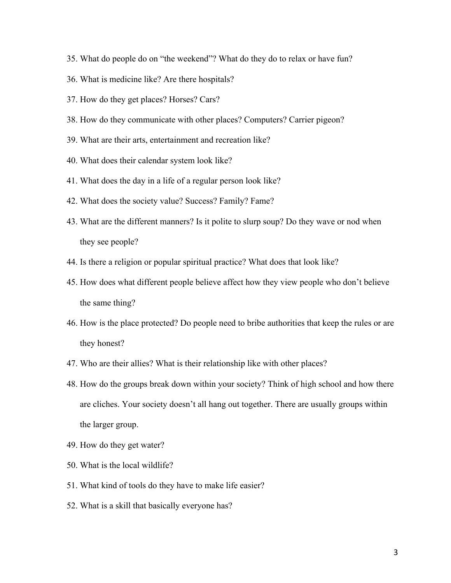- 35. What do people do on "the weekend"? What do they do to relax or have fun?
- 36. What is medicine like? Are there hospitals?
- 37. How do they get places? Horses? Cars?
- 38. How do they communicate with other places? Computers? Carrier pigeon?
- 39. What are their arts, entertainment and recreation like?
- 40. What does their calendar system look like?
- 41. What does the day in a life of a regular person look like?
- 42. What does the society value? Success? Family? Fame?
- 43. What are the different manners? Is it polite to slurp soup? Do they wave or nod when they see people?
- 44. Is there a religion or popular spiritual practice? What does that look like?
- 45. How does what different people believe affect how they view people who don't believe the same thing?
- 46. How is the place protected? Do people need to bribe authorities that keep the rules or are they honest?
- 47. Who are their allies? What is their relationship like with other places?
- 48. How do the groups break down within your society? Think of high school and how there are cliches. Your society doesn't all hang out together. There are usually groups within the larger group.
- 49. How do they get water?
- 50. What is the local wildlife?
- 51. What kind of tools do they have to make life easier?
- 52. What is a skill that basically everyone has?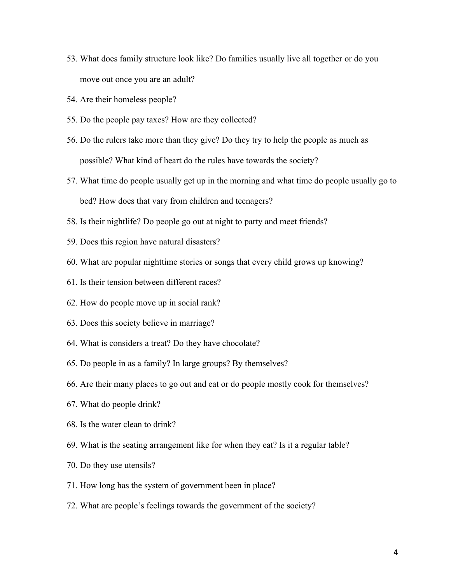- 53. What does family structure look like? Do families usually live all together or do you move out once you are an adult?
- 54. Are their homeless people?
- 55. Do the people pay taxes? How are they collected?
- 56. Do the rulers take more than they give? Do they try to help the people as much as possible? What kind of heart do the rules have towards the society?
- 57. What time do people usually get up in the morning and what time do people usually go to bed? How does that vary from children and teenagers?
- 58. Is their nightlife? Do people go out at night to party and meet friends?
- 59. Does this region have natural disasters?
- 60. What are popular nighttime stories or songs that every child grows up knowing?
- 61. Is their tension between different races?
- 62. How do people move up in social rank?
- 63. Does this society believe in marriage?
- 64. What is considers a treat? Do they have chocolate?
- 65. Do people in as a family? In large groups? By themselves?
- 66. Are their many places to go out and eat or do people mostly cook for themselves?
- 67. What do people drink?
- 68. Is the water clean to drink?
- 69. What is the seating arrangement like for when they eat? Is it a regular table?
- 70. Do they use utensils?
- 71. How long has the system of government been in place?
- 72. What are people's feelings towards the government of the society?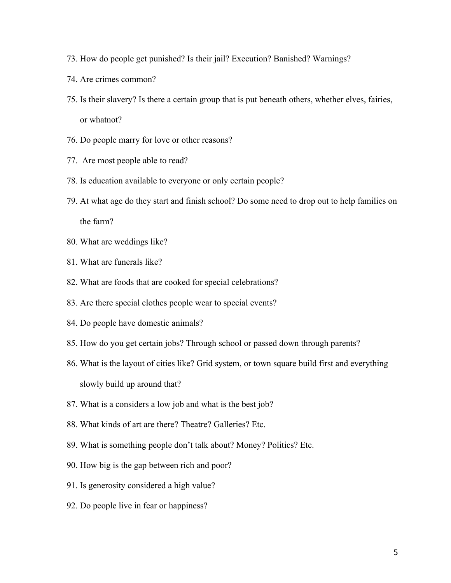- 73. How do people get punished? Is their jail? Execution? Banished? Warnings?
- 74. Are crimes common?
- 75. Is their slavery? Is there a certain group that is put beneath others, whether elves, fairies, or whatnot?
- 76. Do people marry for love or other reasons?
- 77. Are most people able to read?
- 78. Is education available to everyone or only certain people?
- 79. At what age do they start and finish school? Do some need to drop out to help families on the farm?
- 80. What are weddings like?
- 81. What are funerals like?
- 82. What are foods that are cooked for special celebrations?
- 83. Are there special clothes people wear to special events?
- 84. Do people have domestic animals?
- 85. How do you get certain jobs? Through school or passed down through parents?
- 86. What is the layout of cities like? Grid system, or town square build first and everything slowly build up around that?
- 87. What is a considers a low job and what is the best job?
- 88. What kinds of art are there? Theatre? Galleries? Etc.
- 89. What is something people don't talk about? Money? Politics? Etc.
- 90. How big is the gap between rich and poor?
- 91. Is generosity considered a high value?
- 92. Do people live in fear or happiness?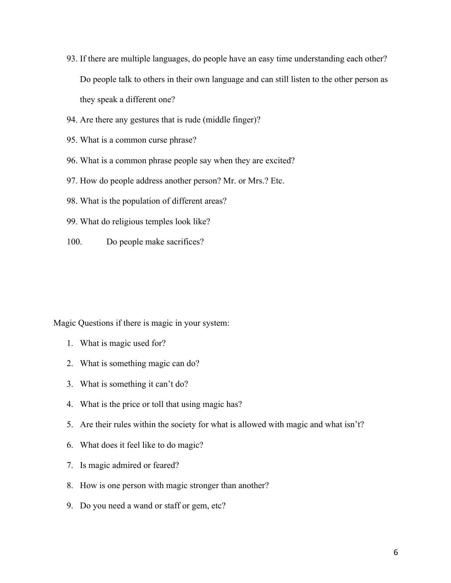- 93. If there are multiple languages, do people have an easy time understanding each other? Do people talk to others in their own language and can still listen to the other person as they speak a different one?
- 94. Are there any gestures that is rude (middle finger)?
- 95. What is a common curse phrase?
- 96. What is a common phrase people say when they are excited?
- 97. How do people address another person? Mr. or Mrs.? Etc.
- 98. What is the population of different areas?
- 99. What do religious temples look like?
- 100. Do people make sacrifices?

Magic Questions if there is magic in your system:

- 1. What is magic used for?
- 2. What is something magic can do?
- 3. What is something it can't do?
- 4. What is the price or toll that using magic has?
- 5. Are their rules within the society for what is allowed with magic and what isn't?
- 6. What does it feel like to do magic?
- 7. Is magic admired or feared?
- 8. How is one person with magic stronger than another?
- 9. Do you need a wand or staff or gem, etc?